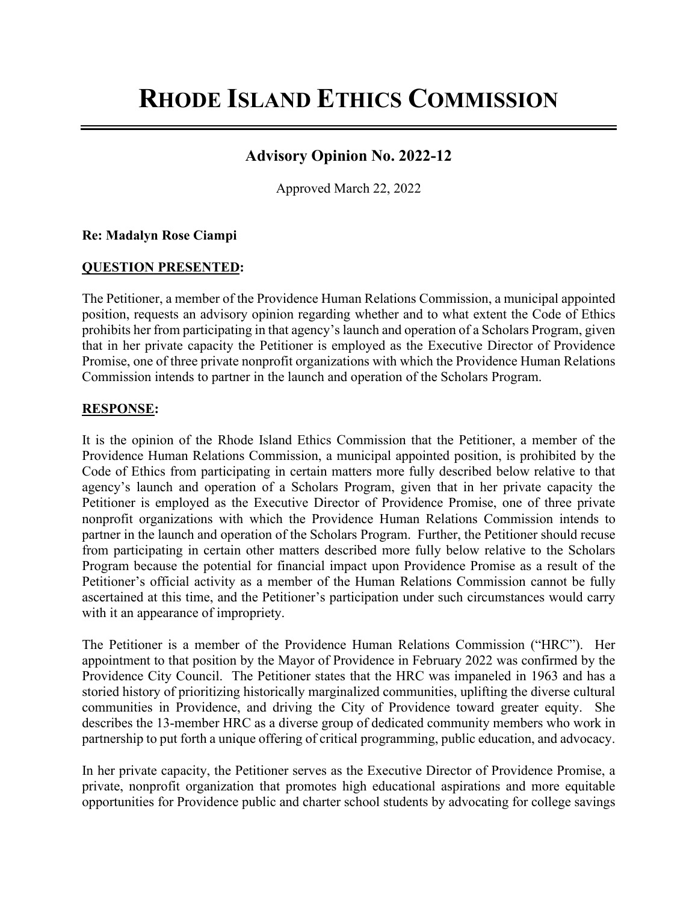# **RHODE ISLAND ETHICS COMMISSION**

# **Advisory Opinion No. 2022-12**

Approved March 22, 2022

#### **Re: Madalyn Rose Ciampi**

#### **QUESTION PRESENTED:**

The Petitioner, a member of the Providence Human Relations Commission, a municipal appointed position, requests an advisory opinion regarding whether and to what extent the Code of Ethics prohibits her from participating in that agency's launch and operation of a Scholars Program, given that in her private capacity the Petitioner is employed as the Executive Director of Providence Promise, one of three private nonprofit organizations with which the Providence Human Relations Commission intends to partner in the launch and operation of the Scholars Program.

#### **RESPONSE:**

It is the opinion of the Rhode Island Ethics Commission that the Petitioner, a member of the Providence Human Relations Commission, a municipal appointed position, is prohibited by the Code of Ethics from participating in certain matters more fully described below relative to that agency's launch and operation of a Scholars Program, given that in her private capacity the Petitioner is employed as the Executive Director of Providence Promise, one of three private nonprofit organizations with which the Providence Human Relations Commission intends to partner in the launch and operation of the Scholars Program. Further, the Petitioner should recuse from participating in certain other matters described more fully below relative to the Scholars Program because the potential for financial impact upon Providence Promise as a result of the Petitioner's official activity as a member of the Human Relations Commission cannot be fully ascertained at this time, and the Petitioner's participation under such circumstances would carry with it an appearance of impropriety.

The Petitioner is a member of the Providence Human Relations Commission ("HRC"). Her appointment to that position by the Mayor of Providence in February 2022 was confirmed by the Providence City Council. The Petitioner states that the HRC was impaneled in 1963 and has a storied history of prioritizing historically marginalized communities, uplifting the diverse cultural communities in Providence, and driving the City of Providence toward greater equity. She describes the 13-member HRC as a diverse group of dedicated community members who work in partnership to put forth a unique offering of critical programming, public education, and advocacy.

In her private capacity, the Petitioner serves as the Executive Director of Providence Promise, a private, nonprofit organization that promotes high educational aspirations and more equitable opportunities for Providence public and charter school students by advocating for college savings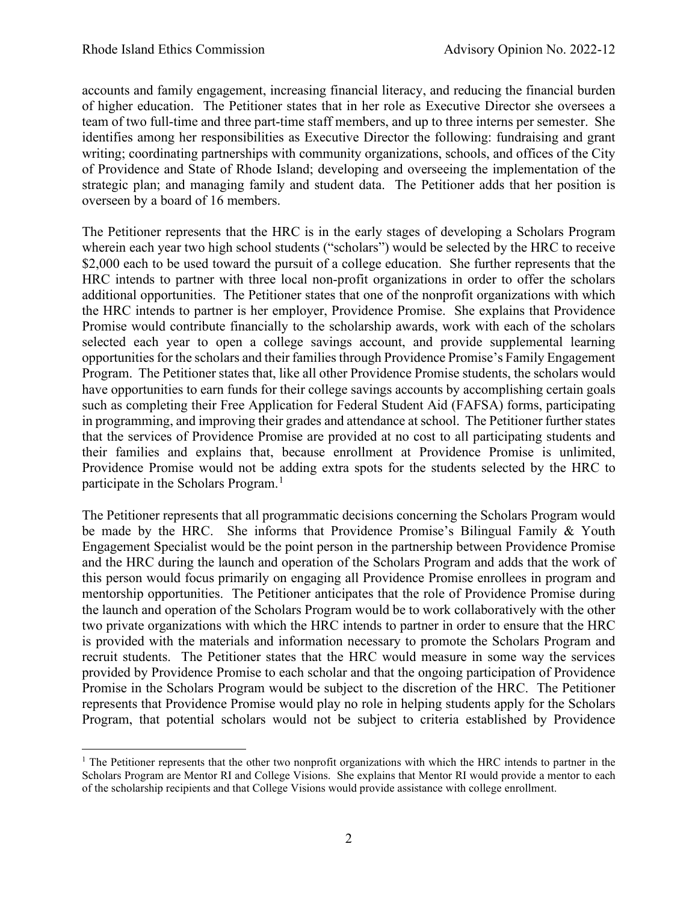accounts and family engagement, increasing financial literacy, and reducing the financial burden of higher education. The Petitioner states that in her role as Executive Director she oversees a team of two full-time and three part-time staff members, and up to three interns per semester. She identifies among her responsibilities as Executive Director the following: fundraising and grant writing; coordinating partnerships with community organizations, schools, and offices of the City of Providence and State of Rhode Island; developing and overseeing the implementation of the strategic plan; and managing family and student data. The Petitioner adds that her position is overseen by a board of 16 members.

The Petitioner represents that the HRC is in the early stages of developing a Scholars Program wherein each year two high school students ("scholars") would be selected by the HRC to receive \$2,000 each to be used toward the pursuit of a college education. She further represents that the HRC intends to partner with three local non-profit organizations in order to offer the scholars additional opportunities. The Petitioner states that one of the nonprofit organizations with which the HRC intends to partner is her employer, Providence Promise. She explains that Providence Promise would contribute financially to the scholarship awards, work with each of the scholars selected each year to open a college savings account, and provide supplemental learning opportunities for the scholars and their families through Providence Promise's Family Engagement Program. The Petitioner states that, like all other Providence Promise students, the scholars would have opportunities to earn funds for their college savings accounts by accomplishing certain goals such as completing their Free Application for Federal Student Aid (FAFSA) forms, participating in programming, and improving their grades and attendance at school. The Petitioner further states that the services of Providence Promise are provided at no cost to all participating students and their families and explains that, because enrollment at Providence Promise is unlimited, Providence Promise would not be adding extra spots for the students selected by the HRC to participate in the Scholars Program.<sup>[1](#page-1-0)</sup>

The Petitioner represents that all programmatic decisions concerning the Scholars Program would be made by the HRC. She informs that Providence Promise's Bilingual Family & Youth Engagement Specialist would be the point person in the partnership between Providence Promise and the HRC during the launch and operation of the Scholars Program and adds that the work of this person would focus primarily on engaging all Providence Promise enrollees in program and mentorship opportunities. The Petitioner anticipates that the role of Providence Promise during the launch and operation of the Scholars Program would be to work collaboratively with the other two private organizations with which the HRC intends to partner in order to ensure that the HRC is provided with the materials and information necessary to promote the Scholars Program and recruit students. The Petitioner states that the HRC would measure in some way the services provided by Providence Promise to each scholar and that the ongoing participation of Providence Promise in the Scholars Program would be subject to the discretion of the HRC. The Petitioner represents that Providence Promise would play no role in helping students apply for the Scholars Program, that potential scholars would not be subject to criteria established by Providence

<span id="page-1-0"></span> $<sup>1</sup>$  The Petitioner represents that the other two nonprofit organizations with which the HRC intends to partner in the</sup> Scholars Program are Mentor RI and College Visions. She explains that Mentor RI would provide a mentor to each of the scholarship recipients and that College Visions would provide assistance with college enrollment.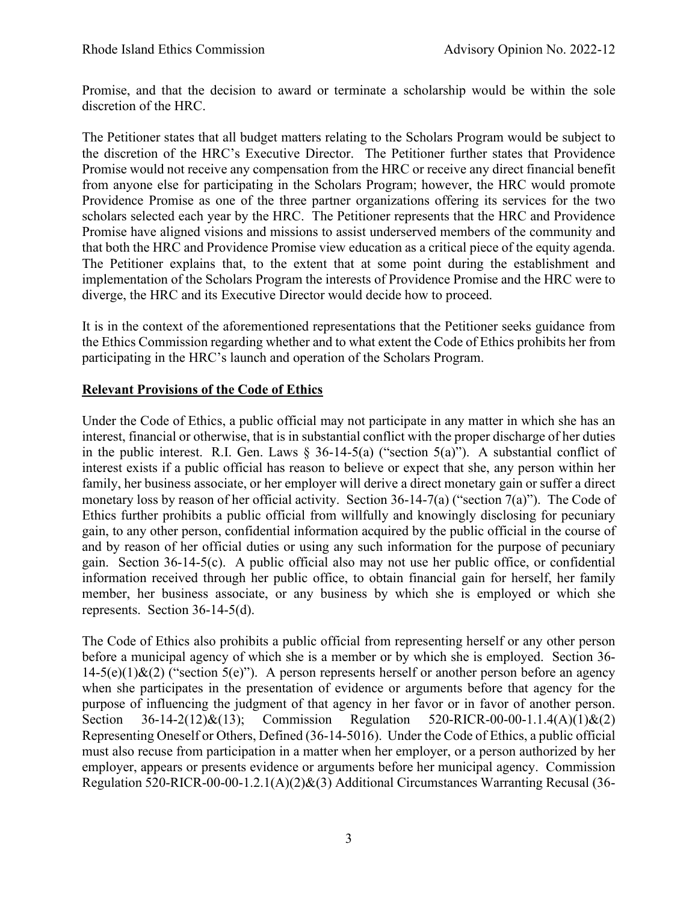Promise, and that the decision to award or terminate a scholarship would be within the sole discretion of the HRC.

The Petitioner states that all budget matters relating to the Scholars Program would be subject to the discretion of the HRC's Executive Director. The Petitioner further states that Providence Promise would not receive any compensation from the HRC or receive any direct financial benefit from anyone else for participating in the Scholars Program; however, the HRC would promote Providence Promise as one of the three partner organizations offering its services for the two scholars selected each year by the HRC. The Petitioner represents that the HRC and Providence Promise have aligned visions and missions to assist underserved members of the community and that both the HRC and Providence Promise view education as a critical piece of the equity agenda. The Petitioner explains that, to the extent that at some point during the establishment and implementation of the Scholars Program the interests of Providence Promise and the HRC were to diverge, the HRC and its Executive Director would decide how to proceed.

It is in the context of the aforementioned representations that the Petitioner seeks guidance from the Ethics Commission regarding whether and to what extent the Code of Ethics prohibits her from participating in the HRC's launch and operation of the Scholars Program.

# **Relevant Provisions of the Code of Ethics**

Under the Code of Ethics, a public official may not participate in any matter in which she has an interest, financial or otherwise, that is in substantial conflict with the proper discharge of her duties in the public interest. R.I. Gen. Laws  $\S$  36-14-5(a) ("section 5(a)"). A substantial conflict of interest exists if a public official has reason to believe or expect that she, any person within her family, her business associate, or her employer will derive a direct monetary gain or suffer a direct monetary loss by reason of her official activity. Section 36-14-7(a) ("section 7(a)"). The Code of Ethics further prohibits a public official from willfully and knowingly disclosing for pecuniary gain, to any other person, confidential information acquired by the public official in the course of and by reason of her official duties or using any such information for the purpose of pecuniary gain. Section 36-14-5(c). A public official also may not use her public office, or confidential information received through her public office, to obtain financial gain for herself, her family member, her business associate, or any business by which she is employed or which she represents. Section 36-14-5(d).

The Code of Ethics also prohibits a public official from representing herself or any other person before a municipal agency of which she is a member or by which she is employed. Section 36-  $14-5(e)(1)$ &(2) ("section 5(e)"). A person represents herself or another person before an agency when she participates in the presentation of evidence or arguments before that agency for the purpose of influencing the judgment of that agency in her favor or in favor of another person. Section 36-14-2(12)&(13); Commission Regulation 520-RICR-00-00-1.1.4(A)(1)&(2) Representing Oneself or Others, Defined (36-14-5016). Under the Code of Ethics, a public official must also recuse from participation in a matter when her employer, or a person authorized by her employer, appears or presents evidence or arguments before her municipal agency. Commission Regulation 520-RICR-00-00-1.2.1(A)(2)&(3) Additional Circumstances Warranting Recusal (36-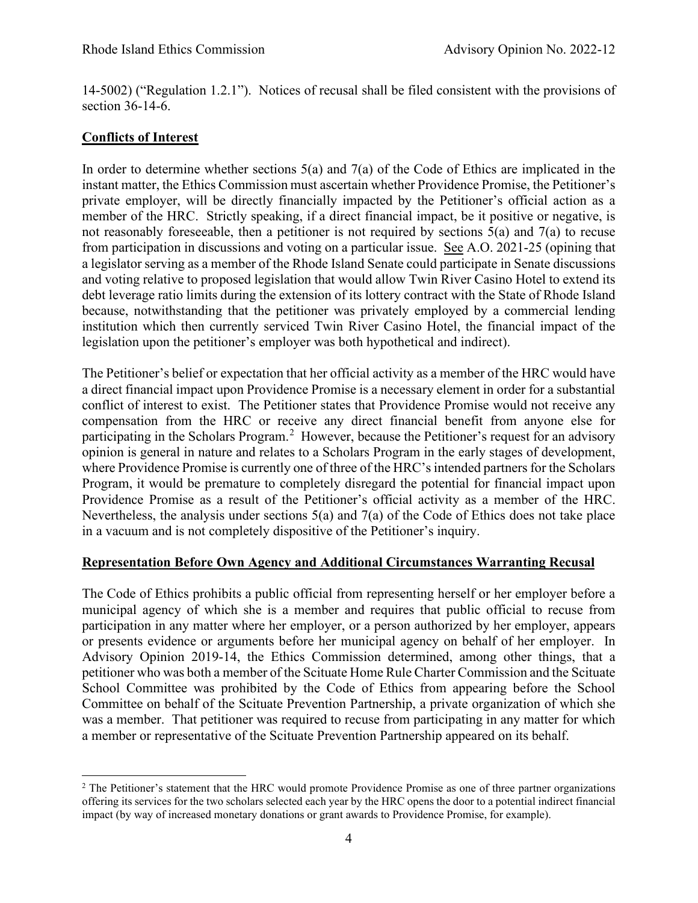14-5002) ("Regulation 1.2.1"). Notices of recusal shall be filed consistent with the provisions of section 36-14-6.

# **Conflicts of Interest**

In order to determine whether sections  $5(a)$  and  $7(a)$  of the Code of Ethics are implicated in the instant matter, the Ethics Commission must ascertain whether Providence Promise, the Petitioner's private employer, will be directly financially impacted by the Petitioner's official action as a member of the HRC. Strictly speaking, if a direct financial impact, be it positive or negative, is not reasonably foreseeable, then a petitioner is not required by sections  $5(a)$  and  $7(a)$  to recuse from participation in discussions and voting on a particular issue. See A.O. 2021-25 (opining that a legislator serving as a member of the Rhode Island Senate could participate in Senate discussions and voting relative to proposed legislation that would allow Twin River Casino Hotel to extend its debt leverage ratio limits during the extension of its lottery contract with the State of Rhode Island because, notwithstanding that the petitioner was privately employed by a commercial lending institution which then currently serviced Twin River Casino Hotel, the financial impact of the legislation upon the petitioner's employer was both hypothetical and indirect).

The Petitioner's belief or expectation that her official activity as a member of the HRC would have a direct financial impact upon Providence Promise is a necessary element in order for a substantial conflict of interest to exist. The Petitioner states that Providence Promise would not receive any compensation from the HRC or receive any direct financial benefit from anyone else for participating in the Scholars Program.<sup>[2](#page-3-0)</sup> However, because the Petitioner's request for an advisory opinion is general in nature and relates to a Scholars Program in the early stages of development, where Providence Promise is currently one of three of the HRC's intended partners for the Scholars Program, it would be premature to completely disregard the potential for financial impact upon Providence Promise as a result of the Petitioner's official activity as a member of the HRC. Nevertheless, the analysis under sections 5(a) and 7(a) of the Code of Ethics does not take place in a vacuum and is not completely dispositive of the Petitioner's inquiry.

# **Representation Before Own Agency and Additional Circumstances Warranting Recusal**

The Code of Ethics prohibits a public official from representing herself or her employer before a municipal agency of which she is a member and requires that public official to recuse from participation in any matter where her employer, or a person authorized by her employer, appears or presents evidence or arguments before her municipal agency on behalf of her employer. In Advisory Opinion 2019-14, the Ethics Commission determined, among other things, that a petitioner who was both a member of the Scituate Home Rule Charter Commission and the Scituate School Committee was prohibited by the Code of Ethics from appearing before the School Committee on behalf of the Scituate Prevention Partnership, a private organization of which she was a member. That petitioner was required to recuse from participating in any matter for which a member or representative of the Scituate Prevention Partnership appeared on its behalf.

<span id="page-3-0"></span> $2$  The Petitioner's statement that the HRC would promote Providence Promise as one of three partner organizations offering its services for the two scholars selected each year by the HRC opens the door to a potential indirect financial impact (by way of increased monetary donations or grant awards to Providence Promise, for example).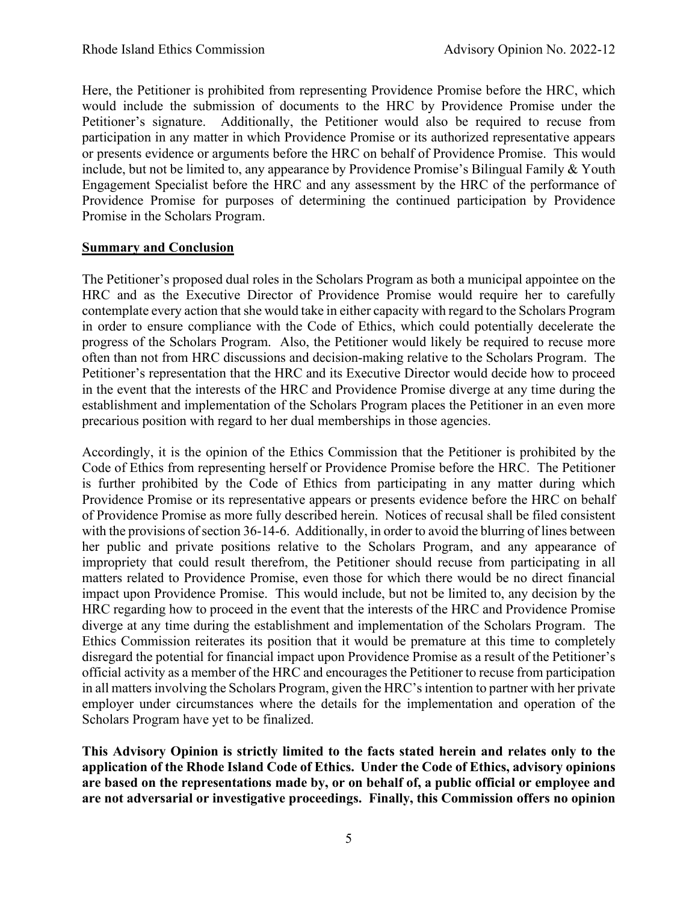Here, the Petitioner is prohibited from representing Providence Promise before the HRC, which would include the submission of documents to the HRC by Providence Promise under the Petitioner's signature. Additionally, the Petitioner would also be required to recuse from participation in any matter in which Providence Promise or its authorized representative appears or presents evidence or arguments before the HRC on behalf of Providence Promise. This would include, but not be limited to, any appearance by Providence Promise's Bilingual Family & Youth Engagement Specialist before the HRC and any assessment by the HRC of the performance of Providence Promise for purposes of determining the continued participation by Providence Promise in the Scholars Program.

# **Summary and Conclusion**

The Petitioner's proposed dual roles in the Scholars Program as both a municipal appointee on the HRC and as the Executive Director of Providence Promise would require her to carefully contemplate every action that she would take in either capacity with regard to the Scholars Program in order to ensure compliance with the Code of Ethics, which could potentially decelerate the progress of the Scholars Program. Also, the Petitioner would likely be required to recuse more often than not from HRC discussions and decision-making relative to the Scholars Program. The Petitioner's representation that the HRC and its Executive Director would decide how to proceed in the event that the interests of the HRC and Providence Promise diverge at any time during the establishment and implementation of the Scholars Program places the Petitioner in an even more precarious position with regard to her dual memberships in those agencies.

Accordingly, it is the opinion of the Ethics Commission that the Petitioner is prohibited by the Code of Ethics from representing herself or Providence Promise before the HRC. The Petitioner is further prohibited by the Code of Ethics from participating in any matter during which Providence Promise or its representative appears or presents evidence before the HRC on behalf of Providence Promise as more fully described herein. Notices of recusal shall be filed consistent with the provisions of section 36-14-6. Additionally, in order to avoid the blurring of lines between her public and private positions relative to the Scholars Program, and any appearance of impropriety that could result therefrom, the Petitioner should recuse from participating in all matters related to Providence Promise, even those for which there would be no direct financial impact upon Providence Promise. This would include, but not be limited to, any decision by the HRC regarding how to proceed in the event that the interests of the HRC and Providence Promise diverge at any time during the establishment and implementation of the Scholars Program. The Ethics Commission reiterates its position that it would be premature at this time to completely disregard the potential for financial impact upon Providence Promise as a result of the Petitioner's official activity as a member of the HRC and encourages the Petitioner to recuse from participation in all matters involving the Scholars Program, given the HRC's intention to partner with her private employer under circumstances where the details for the implementation and operation of the Scholars Program have yet to be finalized.

**This Advisory Opinion is strictly limited to the facts stated herein and relates only to the application of the Rhode Island Code of Ethics. Under the Code of Ethics, advisory opinions are based on the representations made by, or on behalf of, a public official or employee and are not adversarial or investigative proceedings. Finally, this Commission offers no opinion**